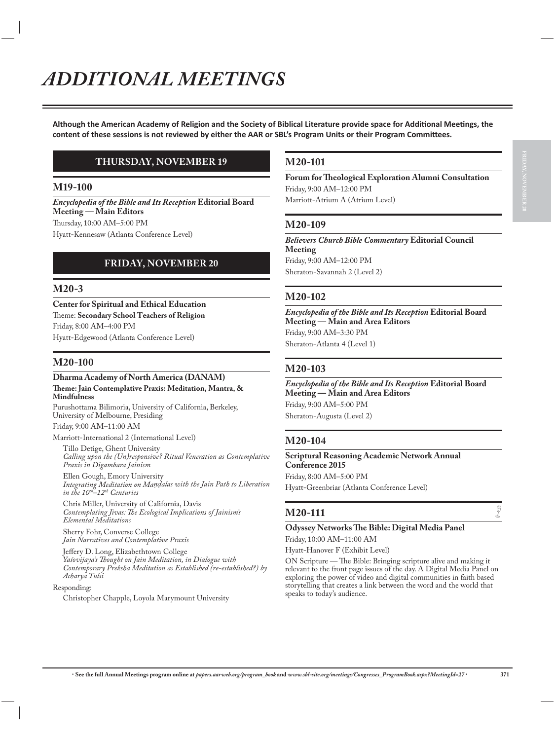Although the American Academy of Religion and the Society of Biblical Literature provide space for Additional Meetings, the content of these sessions is not reviewed by either the AAR or SBL's Program Units or their Program Committees.

### **THURSDAY, NOVEMBER 19**

#### **M19-100**

*Encyclopedia of the Bible and Its Reception* **Editorial Board Meeting — Main Editors** Thursday, 10:00 AM–5:00 PM Hyatt-Kennesaw (Atlanta Conference Level)

### **FRIDAY, NOVEMBER 20**

#### **M20-3**

**Center for Spiritual and Ethical Education** Theme: **Secondary School Teachers of Religion** Friday, 8:00 AM–4:00 PM Hyatt-Edgewood (Atlanta Conference Level)

### **M20-100**

#### **Dharma Academy of North America (DANAM) Theme: Jain Contemplative Praxis: Meditation, Mantra, & Mindfulness**

Purushottama Bilimoria, University of California, Berkeley, University of Melbourne, Presiding Friday, 9:00 AM–11:00 AM

Marriott-International 2 (International Level)

Tillo Detige, Ghent University *Calling upon the (Un)responsive? Ritual Veneration as Contemplative Praxis in Digambara Jainism*

Ellen Gough, Emory University *Integrating Meditation on MaΧΕalas with the Jain Path to Liberation in the 10th–12th Centuries*

Chris Miller, University of California, Davis *Contemplating Jivas: The Ecological Implications of Jainism's Elemental Meditations*

Sherry Fohr, Converse College *Jain Narratives and Contemplative Praxis*

Jeffery D. Long, Elizabethtown College *Yaśovijaya's Thought on Jain Meditation, in Dialogue with Contemporary Preksha Meditation as Established (re-established?) by Acharya Tulsi*

Responding:

Christopher Chapple, Loyola Marymount University

### **M20-101**

**Forum for Theological Exploration Alumni Consultation** Friday, 9:00 AM–12:00 PM Marriott-Atrium A (Atrium Level)

### **M20-109**

*Believers Church Bible Commentary* **Editorial Council Meeting** Friday, 9:00 AM–12:00 PM Sheraton-Savannah 2 (Level 2)

### **M20-102**

*Encyclopedia of the Bible and Its Reception* **Editorial Board Meeting — Main and Area Editors** Friday, 9:00 AM–3:30 PM Sheraton-Atlanta 4 (Level 1)

#### **M20-103**

*Encyclopedia of the Bible and Its Reception* **Editorial Board Meeting — Main and Area Editors** Friday, 9:00 AM–5:00 PM Sheraton-Augusta (Level 2)

### **M20-104**

**Scriptural Reasoning Academic Network Annual Conference 2015** Friday, 8:00 AM–5:00 PM Hyatt-Greenbriar (Atlanta Conference Level)

## **M20-111**  $\qquad \qquad \bullet$

#### **Odyssey Networks The Bible: Digital Media Panel** Friday, 10:00 AM–11:00 AM

Hyatt-Hanover F (Exhibit Level)

ON Scripture — The Bible: Bringing scripture alive and making it relevant to the front page issues of the day. A Digital Media Panel on exploring the power of video and digital communities in faith based storytelling that creates a link between the word and the world that speaks to today's audience.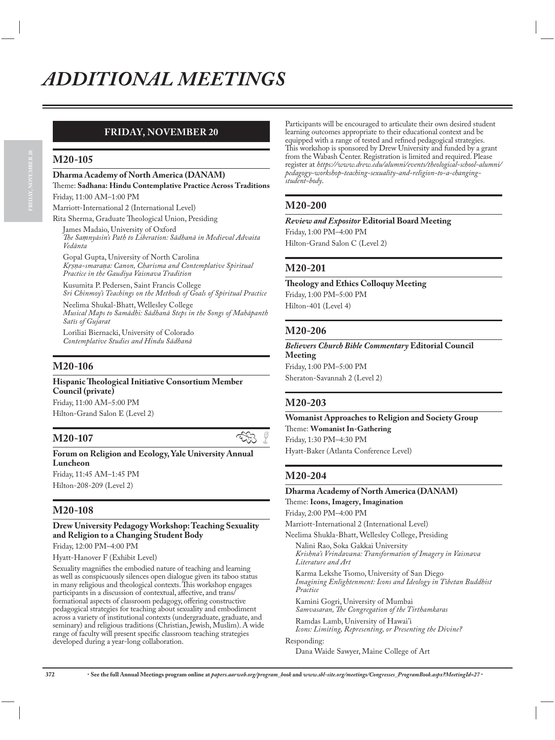### **FRIDAY, NOVEMBER 20**

### **M20-105**

#### **Dharma Academy of North America (DANAM)**

#### Theme: **Sadhana: Hindu Contemplative Practice Across Traditions** Friday, 11:00 AM–1:00 PM

Marriott-International 2 (International Level)

Rita Sherma, Graduate Theological Union, Presiding

James Madaio, University of Oxford *The SaΥnyāsin's Path to Liberation: Sādhanā in Medieval Advaita Vedānta*

Gopal Gupta, University of North Carolina *Krsna-smarana: Canon, Charisma and Contemplative Spiritual Practice in the Gaudiya Vaisnava Tradition*

Kusumita P. Pedersen, Saint Francis College *Sri Chinmoy's Teachings on the Methods of Goals of Spiritual Practice*

Neelima Shukal-Bhatt, Wellesley College *Musical Maps to Samādhi: Sādhanā Steps in the Songs of Mahāpanth Satīs of Gujarat*

Loriliai Biernacki, University of Colorado *Contemplative Studies and Hindu Sādhanā*

### **M20-106**

**Hispanic Theological Initiative Consortium Member Council (private)**

Friday, 11:00 AM–5:00 PM Hilton-Grand Salon E (Level 2)

**Forum on Religion and Ecology, Yale University Annual Luncheon**

Friday, 11:45 AM–1:45 PM Hilton-208-209 (Level 2)

### **M20-108**

#### **Drew University Pedagogy Workshop: Teaching Sexuality and Religion to a Changing Student Body**

Friday, 12:00 PM–4:00 PM

Hyatt-Hanover F (Exhibit Level)

Sexuality magnifies the embodied nature of teaching and learning as well as conspicuously silences open dialogue given its taboo status in many religious and theological contexts. This workshop engages participants in a discussion of contextual, affective, and trans/ formational aspects of classroom pedagogy, offering constructive pedagogical strategies for teaching about sexuality and embodiment across a variety of institutional contexts (undergraduate, graduate, and seminary) and religious traditions (Christian, Jewish, Muslim). A wide range of faculty will present specific classroom teaching strategies developed during a year-long collaboration.

Participants will be encouraged to articulate their own desired student learning outcomes appropriate to their educational context and be equipped with a range of tested and refined pedagogical strategies. This workshop is sponsored by Drew University and funded by a grant from the Wabash Center. Registration is limited and required. Please register at *https://www.drew.edu/alumni/events/theological-school-alumni/ pedagogy-workshop-teaching-sexuality-and-religion-to-a-changingstudent-body*.

### **M20-200**

### *Review and Expositor* **Editorial Board Meeting**

Friday, 1:00 PM–4:00 PM Hilton-Grand Salon C (Level 2)

### **M20-201**

### **Theology and Ethics Colloquy Meeting** Friday, 1:00 PM–5:00 PM

Hilton-401 (Level 4)

### **M20-206**

*Believers Church Bible Commentary* **Editorial Council Meeting** Friday, 1:00 PM–5:00 PM Sheraton-Savannah 2 (Level 2)

### **M20-203**

**Womanist Approaches to Religion and Society Group** Theme: **Womanist In-Gathering**  Friday, 1:30 PM–4:30 PM Hyatt-Baker (Atlanta Conference Level)

### **M20-204**

### **Dharma Academy of North America (DANAM)**

Theme: **Icons, Imagery, Imagination** Friday, 2:00 PM–4:00 PM

Marriott-International 2 (International Level)

Neelima Shukla-Bhatt, Wellesley College, Presiding

Nalini Rao, Soka Gakkai University *Krishna's Vrindavana: Transformation of Imagery in Vaisnava Literature and Art*

Karma Lekshe Tsomo, University of San Diego *Imagining Enlightenment: Icons and Ideology in Tibetan Buddhist Practice*

Kamini Gogri, University of Mumbai *Samvasaran, The Congregation of the Tirthamkaras*

Ramdas Lamb, University of Hawai'i *Icons: Limiting, Representing, or Presenting the Divine?*

Responding:

Dana Waide Sawyer, Maine College of Art

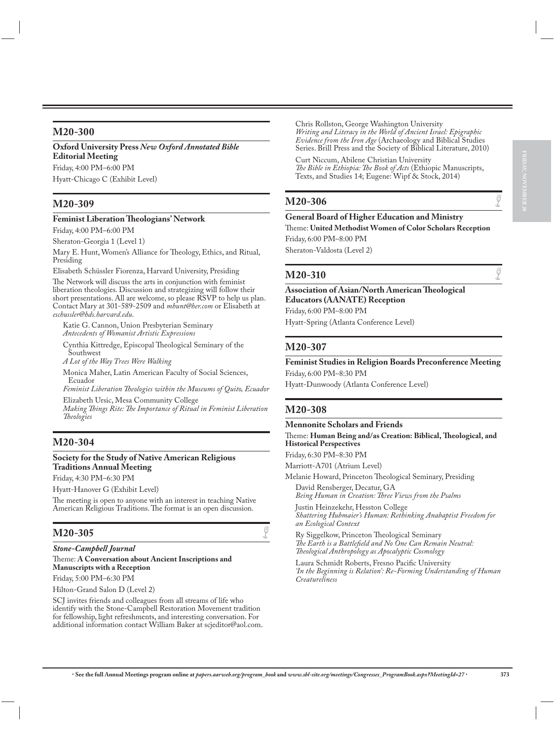### **M20-300**

**Oxford University Press** *New Oxford Annotated Bible* **Editorial Meeting** Friday, 4:00 PM–6:00 PM

Hyatt-Chicago C (Exhibit Level)

### **M20-309**

#### **Feminist Liberation Theologians' Network**

Friday, 4:00 PM–6:00 PM

Sheraton-Georgia 1 (Level 1)

Mary E. Hunt, Women's Alliance for Theology, Ethics, and Ritual, Presiding

Elisabeth Schüssler Fiorenza, Harvard University, Presiding

The Network will discuss the arts in conjunction with feminist liberation theologies. Discussion and strategizing will follow their short presentations. All are welcome, so please RSVP to help us plan. Contact Mary at 301-589-2509 and *mhunt@her.com* or Elisabeth at *eschussler@hds.harvard.edu*.

Katie G. Cannon, Union Presbyterian Seminary *Antecedents of Womanist Artistic Expressions*

Cynthia Kittredge, Episcopal Theological Seminary of the **Southwest** 

*A Lot of the Way Trees Were Walking*

Monica Maher, Latin American Faculty of Social Sciences, Ecuador

*Feminist Liberation Theologies within the Museums of Quito, Ecuador* Elizabeth Ursic, Mesa Community College

*Making Things Rite: The Importance of Ritual in Feminist Liberation Theologies*

### **M20-304**

#### **Society for the Study of Native American Religious Traditions Annual Meeting**

Friday, 4:30 PM–6:30 PM

Hyatt-Hanover G (Exhibit Level)

The meeting is open to anyone with an interest in teaching Native American Religious Traditions. The format is an open discussion.

### **M20-305**

*Stone-Campbell Journal* Theme: **A Conversation about Ancient Inscriptions and Manuscripts with a Reception**

Friday, 5:00 PM–6:30 PM

Hilton-Grand Salon D (Level 2)

SCJ invites friends and colleagues from all streams of life who identify with the Stone-Campbell Restoration Movement tradition for fellowship, light refreshments, and interesting conversation. For additional information contact William Baker at scjeditor@aol.com. Chris Rollston, George Washington University *Writing and Literacy in the World of Ancient Israel: Epigraphic Evidence from the Iron Age* (Archaeology and Biblical Studies Series. Brill Press and the Society of Biblical Literature, 2010)

Curt Niccum, Abilene Christian University *The Bible in Ethiopia: The Book of Acts* (Ethiopic Manuscripts, Texts, and Studies 14; Eugene: Wipf & Stock, 2014)

## **M20-306**  $\qquad \qquad \bullet$

#### **General Board of Higher Education and Ministry**

Theme: **United Methodist Women of Color Scholars Reception** Friday, 6:00 PM–8:00 PM

Sheraton-Valdosta (Level 2)

## **M20-310**  $\qquad \qquad \int_{0}^{\pi}$

**Association of Asian/North American Theological Educators (AANATE) Reception** Friday, 6:00 PM–8:00 PM

Hyatt-Spring (Atlanta Conference Level)

### **M20-307**

#### **Feminist Studies in Religion Boards Preconference Meeting** Friday, 6:00 PM–8:30 PM

Hyatt-Dunwoody (Atlanta Conference Level)

### **M20-308**

#### **Mennonite Scholars and Friends**

Theme: **Human Being and/as Creation: Biblical, Theological, and Historical Perspectives**

Friday, 6:30 PM–8:30 PM

Marriott-A701 (Atrium Level)

Melanie Howard, Princeton Theological Seminary, Presiding David Rensberger, Decatur, GA

*Being Human in Creation: Three Views from the Psalms*

Justin Heinzekehr, Hesston College *Shattering Hubmaier's Human: Rethinking Anabaptist Freedom for an Ecological Context*

Ry Siggelkow, Princeton Theological Seminary *The Earth is a Battlefield and No One Can Remain Neutral: Theological Anthropology as Apocalyptic Cosmology*

Laura Schmidt Roberts, Fresno Pacific University *'In the Beginning is Relation': Re-Forming Understanding of Human Creatureliness*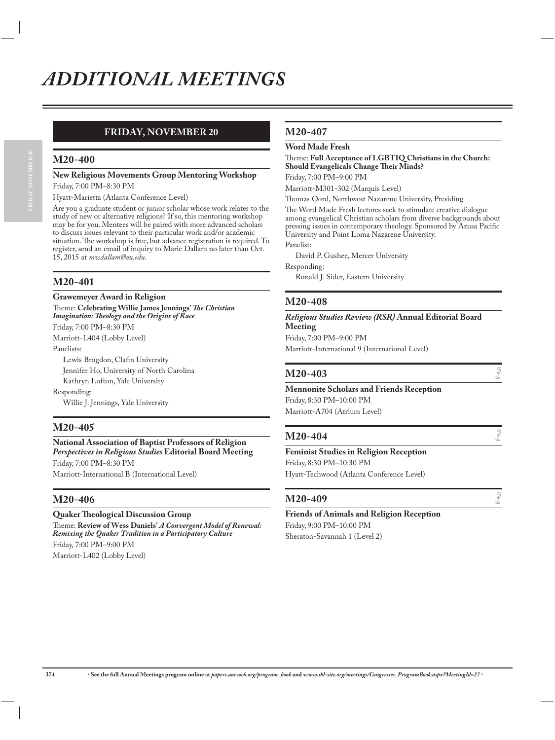### **FRIDAY, NOVEMBER 20**

### **M20-400**

### **New Religious Movements Group Mentoring Workshop**

Friday, 7:00 PM–8:30 PM

Hyatt-Marietta (Atlanta Conference Level)

Are you a graduate student or junior scholar whose work relates to the study of new or alternative religions? If so, this mentoring workshop may be for you. Mentees will be paired with more advanced scholars to discuss issues relevant to their particular work and/or academic situation. The workshop is free, but advance registration is required. To register, send an email of inquiry to Marie Dallam no later than Oct. 15, 2015 at *mwdallam@ou.edu*.

### **M20-401**

#### **Grawemeyer Award in Religion**

Theme: **Celebrating Willie James Jennings'** *The Christian Imagination: Theology and the Origins of Race*

Friday, 7:00 PM–8:30 PM

Marriott-L404 (Lobby Level) Panelists:

Lewis Brogdon, Clafin University

Jennifer Ho, University of North Carolina

Kathryn Lofton, Yale University

Responding:

Willie J. Jennings, Yale University

### **M20-405**

**National Association of Baptist Professors of Religion**  *Perspectives in Religious Studies* **Editorial Board Meeting** Friday, 7:00 PM–8:30 PM

Marriott-International B (International Level)

### **M20-406**

#### **Quaker Theological Discussion Group**

Theme: **Review of Wess Daniels'** *A Convergent Model of Renewal: Remixing the Quaker Tradition in a Participatory Culture* Friday, 7:00 PM–9:00 PM Marriott-L402 (Lobby Level)

### **M20-407**

#### **Word Made Fresh**

#### Theme: **Full Acceptance of LGBTIQ Christians in the Church: Should Evangelicals Change Their Minds?**

Friday, 7:00 PM–9:00 PM

Marriott-M301-302 (Marquis Level)

Thomas Oord, Northwest Nazarene University, Presiding

The Word Made Fresh lectures seek to stimulate creative dialogue among evangelical Christian scholars from diverse backgrounds about pressing issues in contemporary theology. Sponsored by Azusa Pacific University and Point Loma Nazarene University.

Panelist:

David P. Gushee, Mercer University

Responding:

Ronald J. Sider, Eastern University

### **M20-408**

*Religious Studies Review (RSR)* **Annual Editorial Board Meeting** Friday, 7:00 PM–9:00 PM

Marriott-International 9 (International Level)

## **M20-403**  $\qquad \qquad \bullet$

**Mennonite Scholars and Friends Reception** Friday, 8:30 PM–10:00 PM

Marriott-A704 (Atrium Level)

Sheraton-Savannah 1 (Level 2)

## **M20-404**  $\qquad \qquad \bullet$

**Feminist Studies in Religion Reception** Friday, 8:30 PM–10:30 PM Hyatt-Techwood (Atlanta Conference Level)

## **M20-409**  $\qquad \qquad \bullet$

**Friends of Animals and Religion Reception** Friday, 9:00 PM–10:00 PM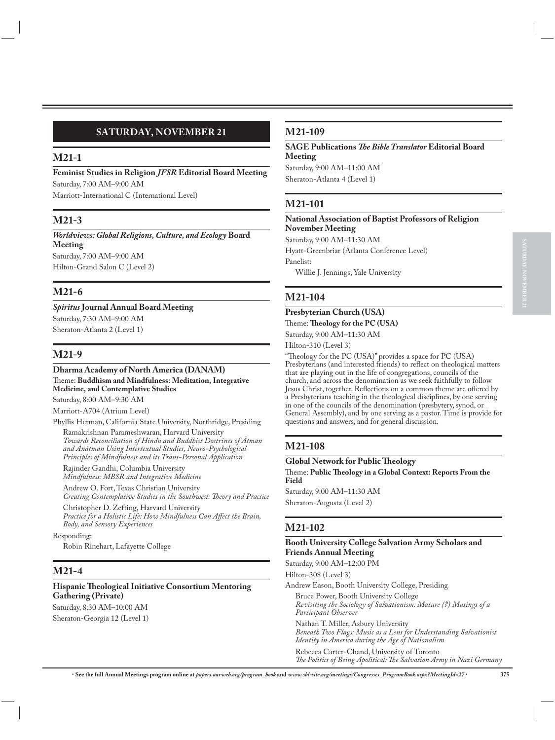### **SATURDAY, NOVEMBER 21**

#### **M21-1**

**Feminist Studies in Religion** *JFSR* **Editorial Board Meeting** Saturday, 7:00 AM–9:00 AM

Marriott-International C (International Level)

### **M21-3**

*Worldviews: Global Religions, Culture, and Ecology* **Board Meeting** Saturday, 7:00 AM–9:00 AM Hilton-Grand Salon C (Level 2)

### **M21-6**

*Spiritus* **Journal Annual Board Meeting** Saturday, 7:30 AM–9:00 AM

Sheraton-Atlanta 2 (Level 1)

### **M21-9**

#### **Dharma Academy of North America (DANAM)**

Theme: **Buddhism and Mindfulness: Meditation, Integrative Medicine, and Contemplative Studies**

Saturday, 8:00 AM–9:30 AM

Marriott-A704 (Atrium Level)

Phyllis Herman, California State University, Northridge, Presiding Ramakrishnan Parameshwaran, Harvard University *Towards Reconciliation of Hindu and Buddhist Doctrines of Ātman and Anātman Using Intertextual Studies, Neuro-Psychological Principles of Mindfulness and its Trans-Personal Application*

Rajinder Gandhi, Columbia University *Mindfulness: MBSR and Integrative Medicine*

Andrew O. Fort, Texas Christian University *Creating Contemplative Studies in the Southwest: Theory and Practice*

Christopher D. Zefting, Harvard University *Practice for a Holistic Life: How Mindfulness Can Affect the Brain, Body, and Sensory Experiences*

Responding:

Robin Rinehart, Lafayette College

### **M21-4**

### **Hispanic Theological Initiative Consortium Mentoring Gathering (Private)**

Saturday, 8:30 AM–10:00 AM Sheraton-Georgia 12 (Level 1)

### **M21-109**

**SAGE Publications** *The Bible Translator* **Editorial Board Meeting** Saturday, 9:00 AM–11:00 AM

Sheraton-Atlanta 4 (Level 1)

### **M21-101**

#### **National Association of Baptist Professors of Religion November Meeting**

Saturday, 9:00 AM–11:30 AM

Hyatt-Greenbriar (Atlanta Conference Level)

Panelist:

Willie J. Jennings, Yale University

### **M21-104**

### **Presbyterian Church (USA)** Theme: **Theology for the PC (USA)**

Saturday, 9:00 AM–11:30 AM

Hilton-310 (Level 3)

"Theology for the PC (USA)" provides a space for PC (USA) Presbyterians (and interested friends) to reflect on theological matters that are playing out in the life of congregations, councils of the church, and across the denomination as we seek faithfully to follow Jesus Christ, together. Reflections on a common theme are offered by a Presbyterians teaching in the theological disciplines, by one serving in one of the councils of the denomination (presbytery, synod, or General Assembly), and by one serving as a pastor. Time is provide for questions and answers, and for general discussion.

### **M21-108**

**Global Network for Public Theology**

Theme: **Public Theology in a Global Context: Reports From the Field**

Saturday, 9:00 AM–11:30 AM Sheraton-Augusta (Level 2)

### **M21-102**

**Booth University College Salvation Army Scholars and Friends Annual Meeting**

Saturday, 9:00 AM–12:00 PM

Hilton-308 (Level 3)

Andrew Eason, Booth University College, Presiding

Bruce Power, Booth University College *Revisiting the Sociology of Salvationism: Mature (?) Musings of a Participant Observer* Nathan T. Miller, Asbury University *Beneath Two Flags: Music as a Lens for Understanding Salvationist Identity in America during the Age of Nationalism*

Rebecca Carter-Chand, University of Toronto *The Politics of Being Apolitical: The Salvation Army in Nazi Germany*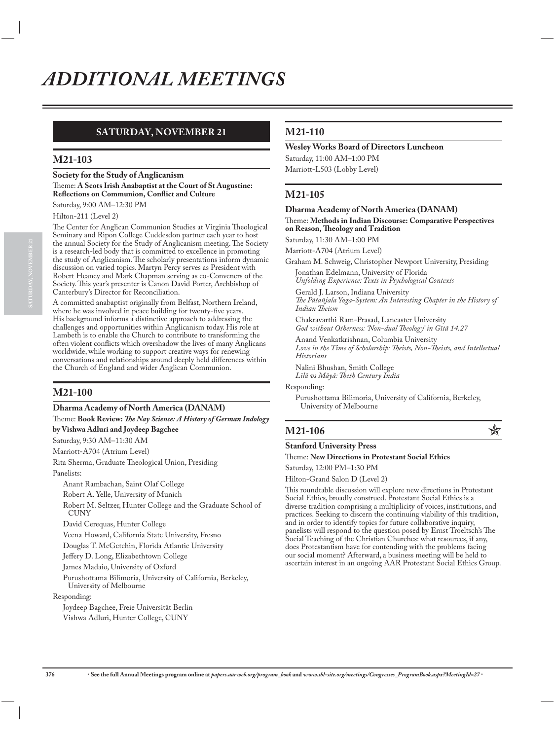### **SATURDAY, NOVEMBER 21**

### **M21-103**

**Society for the Study of Anglicanism** Theme: **A Scots Irish Anabaptist at the Court of St Augustine: Reflections on Communion, Conflict and Culture**

Saturday, 9:00 AM–12:30 PM

Hilton-211 (Level 2)

The Center for Anglican Communion Studies at Virginia Theological Seminary and Ripon College Cuddesdon partner each year to host the annual Society for the Study of Anglicanism meeting. The Society is a research-led body that is committed to excellence in promoting the study of Anglicanism. The scholarly presentations inform dynamic discussion on varied topics. Martyn Percy serves as President with Robert Heaney and Mark Chapman serving as co-Conveners of the Society. This year's presenter is Canon David Porter, Archbishop of Canterbury's Director for Reconciliation.

A committed anabaptist originally from Belfast, Northern Ireland, where he was involved in peace building for twenty-five years. His background informs a distinctive approach to addressing the challenges and opportunities within Anglicanism today. His role at Lambeth is to enable the Church to contribute to transforming the often violent conflicts which overshadow the lives of many Anglicans worldwide, while working to support creative ways for renewing conversations and relationships around deeply held differences within the Church of England and wider Anglican Communion.

### **M21-100**

#### **Dharma Academy of North America (DANAM)**

Theme: **Book Review:** *The Nay Science: A History of German Indology*

**by Vishwa Adluri and Joydeep Bagchee**

Saturday, 9:30 AM–11:30 AM Marriott-A704 (Atrium Level)

Rita Sherma, Graduate Theological Union, Presiding Panelists:

Anant Rambachan, Saint Olaf College

Robert A. Yelle, University of Munich

Robert M. Seltzer, Hunter College and the Graduate School of **CUNY** 

David Cerequas, Hunter College

Veena Howard, California State University, Fresno

Douglas T. McGetchin, Florida Atlantic University

Jeffery D. Long, Elizabethtown College

James Madaio, University of Oxford

Purushottama Bilimoria, University of California, Berkeley, University of Melbourne

#### Responding:

Joydeep Bagchee, Freie Universität Berlin Vishwa Adluri, Hunter College, CUNY

### **M21-110**

### **Wesley Works Board of Directors Luncheon**

Saturday, 11:00 AM–1:00 PM Marriott-L503 (Lobby Level)

### **M21-105**

**Dharma Academy of North America (DANAM)** Theme: **Methods in Indian Discourse: Comparative Perspectives on Reason, Theology and Tradition** Saturday, 11:30 AM–1:00 PM Marriott-A704 (Atrium Level) Graham M. Schweig, Christopher Newport University, Presiding Jonathan Edelmann, University of Florida *Unfolding Experience: Texts in Psychological Contexts* Gerald J. Larson, Indiana University *The Pātañjala Yoga-System: An Interesting Chapter in the History of Indian Theism* Chakravarthi Ram-Prasad, Lancaster University *God without Otherness: 'Non-dual Theology' in Gītā 14.27* Anand Venkatkrishnan, Columbia University *Love in the Time of Scholarship: Theists, Non-Theists, and Intellectual Historians*

Nalini Bhushan, Smith College *Līlā vs Māyā: Theth Century India*

Responding:

Purushottama Bilimoria, University of California, Berkeley, University of Melbourne

## **M21-106 C**

#### **Stanford University Press** Theme: **New Directions in Protestant Social Ethics**

Saturday, 12:00 PM–1:30 PM

Hilton-Grand Salon D (Level 2)

This roundtable discussion will explore new directions in Protestant Social Ethics, broadly construed. Protestant Social Ethics is a diverse tradition comprising a multiplicity of voices, institutions, and practices. Seeking to discern the continuing viability of this tradition, and in order to identify topics for future collaborative inquiry, panelists will respond to the question posed by Ernst Troeltsch's The Social Teaching of the Christian Churches: what resources, if any, does Protestantism have for contending with the problems facing our social moment? Afterward, a business meeting will be held to ascertain interest in an ongoing AAR Protestant Social Ethics Group.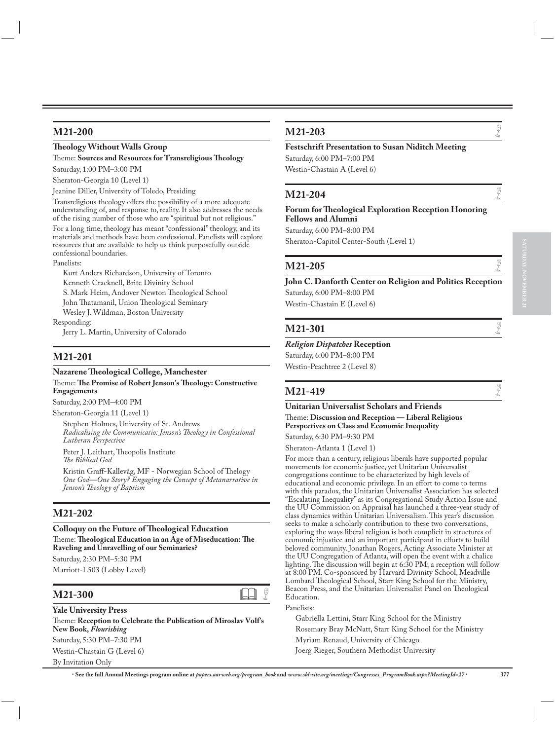### **M21-200**

#### **Theology Without Walls Group**

Theme: **Sources and Resources for Transreligious Theology** Saturday, 1:00 PM–3:00 PM

Sheraton-Georgia 10 (Level 1)

Jeanine Diller, University of Toledo, Presiding

Transreligious theology offers the possibility of a more adequate understanding of, and response to, reality. It also addresses the needs of the rising number of those who are "spiritual but not religious."

For a long time, theology has meant "confessional" theology, and its materials and methods have been confessional. Panelists will explore resources that are available to help us think purposefully outside confessional boundaries.

Panelists:

Kurt Anders Richardson, University of Toronto Kenneth Cracknell, Brite Divinity School S. Mark Heim, Andover Newton Theological School John Thatamanil, Union Theological Seminary Wesley J. Wildman, Boston University Responding:

Jerry L. Martin, University of Colorado

### **M21-201**

### **Nazarene Theological College, Manchester**

#### Theme: **The Promise of Robert Jenson's Theology: Constructive Engagements**

Saturday, 2:00 PM–4:00 PM

Sheraton-Georgia 11 (Level 1) Stephen Holmes, University of St. Andrews *Radicalising the Communicatio: Jenson's Theology in Confessional Lutheran Perspective*

Peter J. Leithart, Theopolis Institute *The Biblical God*

Kristin Graff-Kallevåg, MF - Norwegian School of Thelogy *One God—One Story? Engaging the Concept of Metanarrative in Jenson's Theology of Baptism*

### **M21-202**

#### **Colloquy on the Future of Theological Education**

Theme: **Theological Education in an Age of Miseducation: The Raveling and Unravelling of our Seminaries?** Saturday, 2:30 PM–5:30 PM

Marriott-L503 (Lobby Level)

## **M21-300 A** G

### **Yale University Press**

Theme: **Reception to Celebrate the Publication of Miroslav Volf's New Book,** *Flourishing* Saturday, 5:30 PM–7:30 PM Westin-Chastain G (Level 6) By Invitation Only

## **M21-203**  $\qquad \qquad \qquad \blacksquare$

### **Festschrift Presentation to Susan Niditch Meeting**

Saturday, 6:00 PM–7:00 PM Westin-Chastain A (Level 6)

## **M21-204**  $\qquad \qquad \bullet$

#### **Forum for Theological Exploration Reception Honoring Fellows and Alumni**

Saturday, 6:00 PM–8:00 PM

Sheraton-Capitol Center-South (Level 1)

## **M21-205**  $\qquad \qquad \qquad \frac{1}{2}$

### **John C. Danforth Center on Religion and Politics Reception** Saturday, 6:00 PM–8:00 PM

Westin-Chastain E (Level 6)

## **M21-301**  $\qquad \qquad \bullet$

#### *Religion Dispatches* **Reception**

Saturday, 6:00 PM–8:00 PM Westin-Peachtree 2 (Level 8)

## **M21-419**  $\qquad \qquad \bullet$

### **Unitarian Universalist Scholars and Friends**

#### Theme: **Discussion and Reception — Liberal Religious Perspectives on Class and Economic Inequality**

Saturday, 6:30 PM–9:30 PM

Sheraton-Atlanta 1 (Level 1)

For more than a century, religious liberals have supported popular movements for economic justice, yet Unitarian Universalist congregations continue to be characterized by high levels of educational and economic privilege. In an effort to come to terms with this paradox, the Unitarian Universalist Association has selected "Escalating Inequality" as its Congregational Study Action Issue and the UU Commission on Appraisal has launched a three-year study of class dynamics within Unitarian Universalism. This year's discussion seeks to make a scholarly contribution to these two conversations, exploring the ways liberal religion is both complicit in structures of economic injustice and an important participant in efforts to build beloved community. Jonathan Rogers, Acting Associate Minister at the UU Congregation of Atlanta, will open the event with a chalice lighting. The discussion will begin at 6:30 PM; a reception will follow at 8:00 PM. Co-sponsored by Harvard Divinity School, Meadville Lombard Theological School, Starr King School for the Ministry, Beacon Press, and the Unitarian Universalist Panel on Theological Education.

#### Panelists:

Gabriella Lettini, Starr King School for the Ministry Rosemary Bray McNatt, Starr King School for the Ministry Myriam Renaud, University of Chicago Joerg Rieger, Southern Methodist University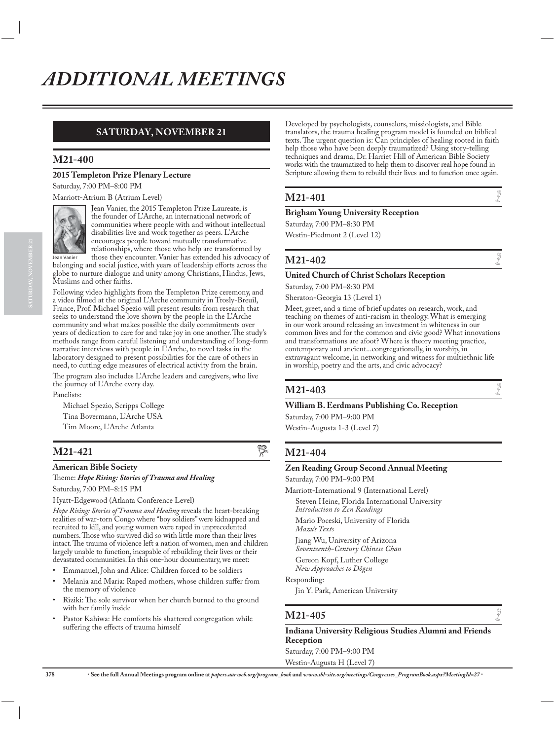### **SATURDAY, NOVEMBER 21**

### **M21-400**

### **2015 Templeton Prize Plenary Lecture**

Saturday, 7:00 PM–8:00 PM

Marriott-Atrium B (Atrium Level)



Jean Vanier, the 2015 Templeton Prize Laureate, is the founder of L'Arche, an international network of communities where people with and without intellectual disabilities live and work together as peers. L'Arche encourages people toward mutually transformative relationships, where those who help are transformed by those they encounter. Vanier has extended his advocacy of

belonging and social justice, with years of leadership efforts across the globe to nurture dialogue and unity among Christians, Hindus, Jews, Muslims and other faiths.

Following video highlights from the Templeton Prize ceremony, and a video filmed at the original L'Arche community in Trosly-Breuil, France, Prof. Michael Spezio will present results from research that seeks to understand the love shown by the people in the L'Arche community and what makes possible the daily commitments over years of dedication to care for and take joy in one another. The study's methods range from careful listening and understanding of long-form narrative interviews with people in L'Arche, to novel tasks in the laboratory designed to present possibilities for the care of others in need, to cutting edge measures of electrical activity from the brain. The program also includes L'Arche leaders and caregivers, who live the journey of L'Arche every day.

Panelists:

Michael Spezio, Scripps College

Tina Bovermann, L'Arche USA Tim Moore, L'Arche Atlanta

## **M21-421**  $\frac{85}{\pi^6}$

#### **American Bible Society**

### Theme: *Hope Rising: Stories of Trauma and Healing*

Saturday, 7:00 PM–8:15 PM Hyatt-Edgewood (Atlanta Conference Level)

*Hope Rising: Stories of Trauma and Healing* reveals the heart-breaking realities of war-torn Congo where "boy soldiers" were kidnapped and recruited to kill, and young women were raped in unprecedented numbers. Those who survived did so with little more than their lives intact. The trauma of violence left a nation of women, men and children largely unable to function, incapable of rebuilding their lives or their devastated communities. In this one-hour documentary, we meet:

- Emmanuel, John and Alice: Children forced to be soldiers
- Melania and Maria: Raped mothers, whose children suffer from the memory of violence
- Riziki: The sole survivor when her church burned to the ground with her family inside
- Pastor Kahiwa: He comforts his shattered congregation while suffering the effects of trauma himself

Developed by psychologists, counselors, missiologists, and Bible translators, the trauma healing program model is founded on biblical texts. The urgent question is: Can principles of healing rooted in faith help those who have been deeply traumatized? Using story-telling techniques and drama, Dr. Harriet Hill of American Bible Society works with the traumatized to help them to discover real hope found in Scripture allowing them to rebuild their lives and to function once again.

## **M21-401**  $\qquad \qquad \bullet$

#### **Brigham Young University Reception**

Saturday, 7:00 PM–8:30 PM Westin-Piedmont 2 (Level 12)

## **M21-402**  $\qquad \qquad \bullet$

#### **United Church of Christ Scholars Reception**

Saturday, 7:00 PM–8:30 PM Sheraton-Georgia 13 (Level 1)

Meet, greet, and a time of brief updates on research, work, and teaching on themes of anti-racism in theology. What is emerging in our work around releasing an investment in whiteness in our common lives and for the common and civic good? What innovations and transformations are afoot? Where is theory meeting practice, contemporary and ancient...congregationally, in worship, in extravagant welcome, in networking and witness for multiethnic life in worship, poetry and the arts, and civic advocacy?

### **M21-403**

### **William B. Eerdmans Publishing Co. Reception**

Saturday, 7:00 PM–9:00 PM Westin-Augusta 1-3 (Level 7)

### **M21-404**

#### **Zen Reading Group Second Annual Meeting**

Saturday, 7:00 PM–9:00 PM

Marriott-International 9 (International Level) Steven Heine, Florida International University *Introduction to Zen Readings* Mario Poceski, University of Florida *Mazu's Texts* Jiang Wu, University of Arizona *Seventeenth-Century Chinese Chan* Gereon Kopf, Luther College *New Approaches to Dōgen* Responding:

Jin Y. Park, American University

## **M21-405**  $\qquad \qquad \bullet$

### **Indiana University Religious Studies Alumni and Friends Reception** Saturday, 7:00 PM–9:00 PM

Westin-Augusta H (Level 7)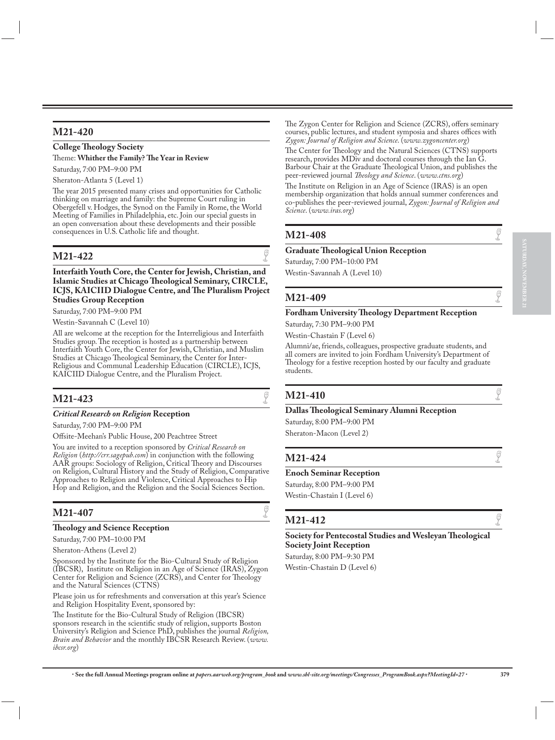### **M21-420**

### **College Theology Society** Theme: **Whither the Family? The Year in Review** Saturday, 7:00 PM–9:00 PM

Sheraton-Atlanta 5 (Level 1)

The year 2015 presented many crises and opportunities for Catholic thinking on marriage and family: the Supreme Court ruling in Obergefell v. Hodges, the Synod on the Family in Rome, the World Meeting of Families in Philadelphia, etc. Join our special guests in an open conversation about these developments and their possible consequences in U.S. Catholic life and thought.

## **M21-422**  $\qquad \qquad \big\}$

**Interfaith Youth Core, the Center for Jewish, Christian, and Islamic Studies at Chicago Theological Seminary, CIRCLE, ICJS, KAICIID Dialogue Centre, and The Pluralism Project Studies Group Reception**

Saturday, 7:00 PM–9:00 PM Westin-Savannah C (Level 10)

All are welcome at the reception for the Interreligious and Interfaith Studies group. The reception is hosted as a partnership between Interfaith Youth Core, the Center for Jewish, Christian, and Muslim Studies at Chicago Theological Seminary, the Center for Inter-Religious and Communal Leadership Education (CIRCLE), ICJS, KAICIID Dialogue Centre, and the Pluralism Project.

## **M21-423**

#### *Critical Research on Religion* **Reception**

Saturday, 7:00 PM–9:00 PM

Offsite-Meehan's Public House, 200 Peachtree Street

You are invited to a reception sponsored by *Critical Research on Religion* (*http://crr.sagepub.com*) in conjunction with the following AAR groups: Sociology of Religion, Critical Theory and Discourses on Religion, Cultural History and the Study of Religion, Comparative Approaches to Religion and Violence, Critical Approaches to Hip Hop and Religion, and the Religion and the Social Sciences Section.

## **M21-407**  $\qquad \qquad \bullet$

#### **Theology and Science Reception**

Saturday, 7:00 PM–10:00 PM

Sheraton-Athens (Level 2)

Sponsored by the Institute for the Bio-Cultural Study of Religion (IBCSR), Institute on Religion in an Age of Science (IRAS), Zygon Center for Religion and Science (ZCRS), and Center for Theology and the Natural Sciences (CTNS)

Please join us for refreshments and conversation at this year's Science and Religion Hospitality Event, sponsored by:

The Institute for the Bio-Cultural Study of Religion (IBCSR) sponsors research in the scientific study of religion, supports Boston University's Religion and Science PhD, publishes the journal *Religion, Brain and Behavior* and the monthly IBCSR Research Review. (*www. ibcsr.org*)

The Zygon Center for Religion and Science (ZCRS), offers seminary courses, public lectures, and student symposia and shares offices with *Zygon: Journal of Religion and Science*. (*www.zygoncenter.org*)

The Center for Theology and the Natural Sciences (CTNS) supports research, provides MDiv and doctoral courses through the Ian G. Barbour Chair at the Graduate Theological Union, and publishes the peer-reviewed journal *Theology and Science*. (*www.ctns.org*)

The Institute on Religion in an Age of Science (IRAS) is an open membership organization that holds annual summer conferences and co-publishes the peer-reviewed journal, *Zygon: Journal of Religion and Science*. (*www.iras.org*)

## **M21-408**  $\qquad \qquad \frac{6}{5}$

### **Graduate Theological Union Reception**

Saturday, 7:00 PM–10:00 PM

Westin-Savannah A (Level 10)

## **M21-409**  $\qquad \qquad \bullet$

### **Fordham University Theology Department Reception**

Saturday, 7:30 PM–9:00 PM

Westin-Chastain F (Level 6)

Alumni/ae, friends, colleagues, prospective graduate students, and all comers are invited to join Fordham University's Department of Theology for a festive reception hosted by our faculty and graduate students.

## **M21-410**  $\qquad \qquad \bullet$

### **Dallas Theological Seminary Alumni Reception**

Saturday, 8:00 PM–9:00 PM Sheraton-Macon (Level 2)

## **M21-424**  $\qquad \qquad \bullet$

### **Enoch Seminar Reception**

Saturday, 8:00 PM–9:00 PM Westin-Chastain I (Level 6)

## **M21-412**  $\qquad \qquad \int_{0}^{\pi}$

**Society for Pentecostal Studies and Wesleyan Theological Society Joint Reception** Saturday, 8:00 PM–9:30 PM

Westin-Chastain D (Level 6)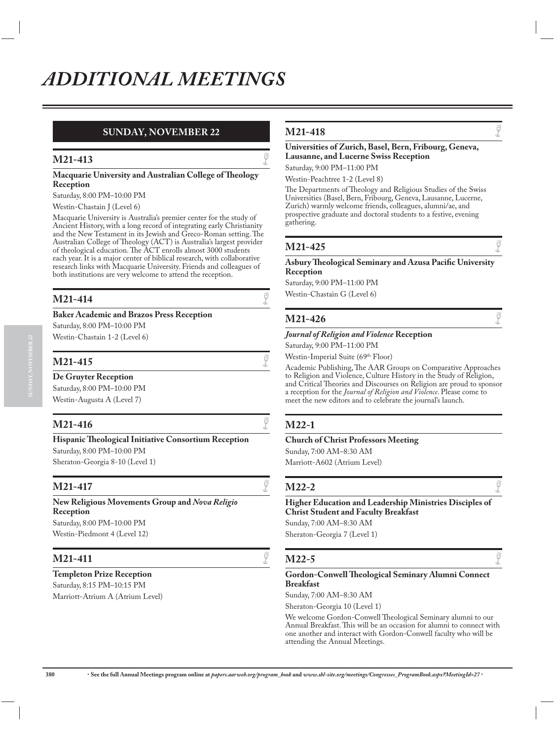### **SUNDAY, NOVEMBER 22**

## **M21-413**

#### **Macquarie University and Australian College of Theology Reception**

Saturday, 8:00 PM–10:00 PM

#### Westin-Chastain J (Level 6)

Macquarie University is Australia's premier center for the study of Ancient History, with a long record of integrating early Christianity and the New Testament in its Jewish and Greco-Roman setting. The Australian College of Theology (ACT) is Australia's largest provider of theological education. The ACT enrolls almost 3000 students each year. It is a major center of biblical research, with collaborative research links with Macquarie University. Friends and colleagues of both institutions are very welcome to attend the reception.

## **M21-414**  $\qquad \qquad \bullet$

#### **Baker Academic and Brazos Press Reception**

Saturday, 8:00 PM–10:00 PM

Westin-Chastain 1-2 (Level 6)

## **M21-415**  $\qquad \qquad \qquad \frac{6}{5}$

**De Gruyter Reception**

Saturday, 8:00 PM–10:00 PM Westin-Augusta A (Level 7)

## **M21-416**  $\qquad \qquad \bullet$

**Hispanic Theological Initiative Consortium Reception** Saturday, 8:00 PM–10:00 PM Sheraton-Georgia 8-10 (Level 1)

## **M21-417**

**New Religious Movements Group and** *Nova Religio* **Reception** Saturday, 8:00 PM–10:00 PM

Westin-Piedmont 4 (Level 12)

## **M21-411**  $\qquad \qquad \bullet$

**Templeton Prize Reception** Saturday, 8:15 PM–10:15 PM Marriott-Atrium A (Atrium Level)

## **M21-418**  $\qquad \qquad \bullet$

### **Universities of Zurich, Basel, Bern, Fribourg, Geneva, Lausanne, and Lucerne Swiss Reception**

Saturday, 9:00 PM–11:00 PM Westin-Peachtree 1-2 (Level 8)

The Departments of Theology and Religious Studies of the Swiss Universities (Basel, Bern, Fribourg, Geneva, Lausanne, Lucerne, Zurich) warmly welcome friends, colleagues, alumni/ae, and prospective graduate and doctoral students to a festive, evening gathering.

## **M21-425**  $\qquad \qquad \circledcirc$

#### **Asbury Theological Seminary and Azusa Pacific University Reception**

Saturday, 9:00 PM–11:00 PM Westin-Chastain G (Level 6)

## **M21-426**  $\qquad \qquad \bullet$

#### *Journal of Religion and Violence* **Reception**

Saturday, 9:00 PM–11:00 PM

Westin-Imperial Suite (69<sup>th</sup> Floor)

Academic Publishing, The AAR Groups on Comparative Approaches to Religion and Violence, Culture History in the Study of Religion, and Critical Theories and Discourses on Religion are proud to sponsor a reception for the *Journal of Religion and Violence*. Please come to meet the new editors and to celebrate the journal's launch.

### **M22-1**

### **Church of Christ Professors Meeting**

Sunday, 7:00 AM–8:30 AM Marriott-A602 (Atrium Level)

## **M22-2**  $\sqrt{2}$

#### **Higher Education and Leadership Ministries Disciples of Christ Student and Faculty Breakfast**

Sunday, 7:00 AM–8:30 AM Sheraton-Georgia 7 (Level 1)

## **M22-5**  $\qquad \qquad \bullet$

#### **Gordon-Conwell Theological Seminary Alumni Connect Breakfast**

Sunday, 7:00 AM–8:30 AM

Sheraton-Georgia 10 (Level 1)

We welcome Gordon-Conwell Theological Seminary alumni to our Annual Breakfast. This will be an occasion for alumni to connect with one another and interact with Gordon-Conwell faculty who will be attending the Annual Meetings.

**380** x **See the full Annual Meetings program online at** *papers.aarweb.org/program\_book* **and** *www.sbl-site.org/meetings/Congresses\_ProgramBook.aspx?MeetingId=27* x

**SUNDAY, NOVEMBER 22**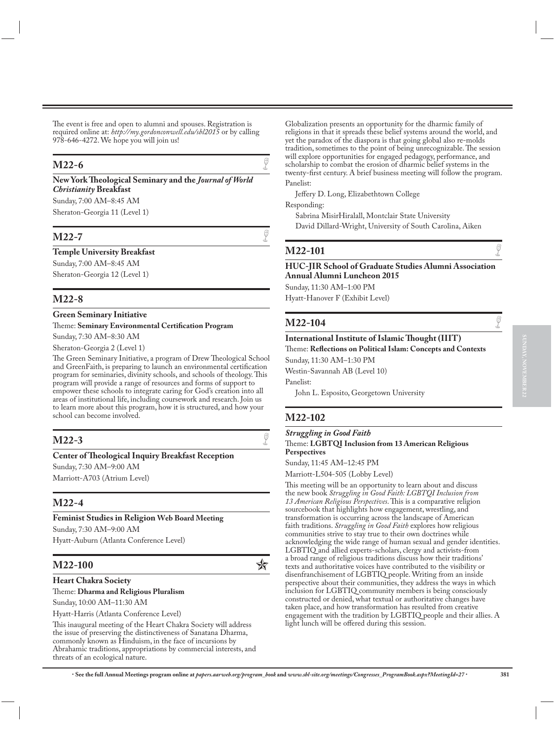The event is free and open to alumni and spouses. Registration is required online at: *http://my.gordonconwell.edu/sbl2015* or by calling 978-646-4272. We hope you will join us!

## **M22-6**  $\qquad \qquad \bullet$

**New York Theological Seminary and the** *Journal of World Christianity* **Breakfast**

Sunday, 7:00 AM–8:45 AM Sheraton-Georgia 11 (Level 1)

## **M22-7**  $\qquad \qquad \bullet$

**Temple University Breakfast**

Sunday, 7:00 AM–8:45 AM Sheraton-Georgia 12 (Level 1)

### **M22-8**

#### **Green Seminary Initiative**

#### Theme: **Seminary Environmental Certification Program**

Sunday, 7:30 AM–8:30 AM

Sheraton-Georgia 2 (Level 1)

The Green Seminary Initiative, a program of Drew Theological School and GreenFaith, is preparing to launch an environmental certification program for seminaries, divinity schools, and schools of theology. This program will provide a range of resources and forms of support to empower these schools to integrate caring for God's creation into all areas of institutional life, including coursework and research. Join us to learn more about this program, how it is structured, and how your school can become involved.

## **M22-3**

#### **Center of Theological Inquiry Breakfast Reception**

Sunday, 7:30 AM–9:00 AM Marriott-A703 (Atrium Level)

### **M22-4**

#### **Feminist Studies in Religion Web Board Meeting**

Sunday, 7:30 AM–9:00 AM Hyatt-Auburn (Atlanta Conference Level)

## **M22-100 C**

#### **Heart Chakra Society**

#### Theme: **Dharma and Religious Pluralism**

Sunday, 10:00 AM–11:30 AM

Hyatt-Harris (Atlanta Conference Level)

This inaugural meeting of the Heart Chakra Society will address the issue of preserving the distinctiveness of Sanatana Dharma, commonly known as Hinduism, in the face of incursions by Abrahamic traditions, appropriations by commercial interests, and threats of an ecological nature.

Globalization presents an opportunity for the dharmic family of religions in that it spreads these belief systems around the world, and yet the paradox of the diaspora is that going global also re-molds tradition, sometimes to the point of being unrecognizable. The session will explore opportunities for engaged pedagogy, performance, and scholarship to combat the erosion of dharmic belief systems in the twenty-first century. A brief business meeting will follow the program. Panelist:

Jeffery D. Long, Elizabethtown College

Responding:

Sabrina MisirHiralall, Montclair State University David Dillard-Wright, University of South Carolina, Aiken

## **M22-101**  $\qquad \qquad \bullet$

#### **HUC-JIR School of Graduate Studies Alumni Association Annual Alumni Luncheon 2015**

Sunday, 11:30 AM–1:00 PM Hyatt-Hanover F (Exhibit Level)

## **M22-104**  $\qquad \qquad \bullet$

### **International Institute of Islamic Thought (IIIT)**

Theme: **Reflections on Political Islam: Concepts and Contexts**

Sunday, 11:30 AM–1:30 PM

Westin-Savannah AB (Level 10)

Panelist:

John L. Esposito, Georgetown University

### **M22-102**

#### *Struggling in Good Faith*

Theme: **LGBTQI Inclusion from 13 American Religious Perspectives**

Sunday, 11:45 AM–12:45 PM

Marriott-L504-505 (Lobby Level)

This meeting will be an opportunity to learn about and discuss the new book *Struggling in Good Faith: LGBTQI Inclusion from 13 American Religious Perspectives*. This is a comparative religion sourcebook that highlights how engagement, wrestling, and transformation is occurring across the landscape of American faith traditions. *Struggling in Good Faith* explores how religious communities strive to stay true to their own doctrines while acknowledging the wide range of human sexual and gender identities. LGBTIQ and allied experts-scholars, clergy and activists-from a broad range of religious traditions discuss how their traditions' texts and authoritative voices have contributed to the visibility or disenfranchisement of LGBTIQ people. Writing from an inside perspective about their communities, they address the ways in which inclusion for LGBTIQ community members is being consciously constructed or denied, what textual or authoritative changes have taken place, and how transformation has resulted from creative engagement with the tradition by LGBTIQ people and their allies. A light lunch will be offered during this session.



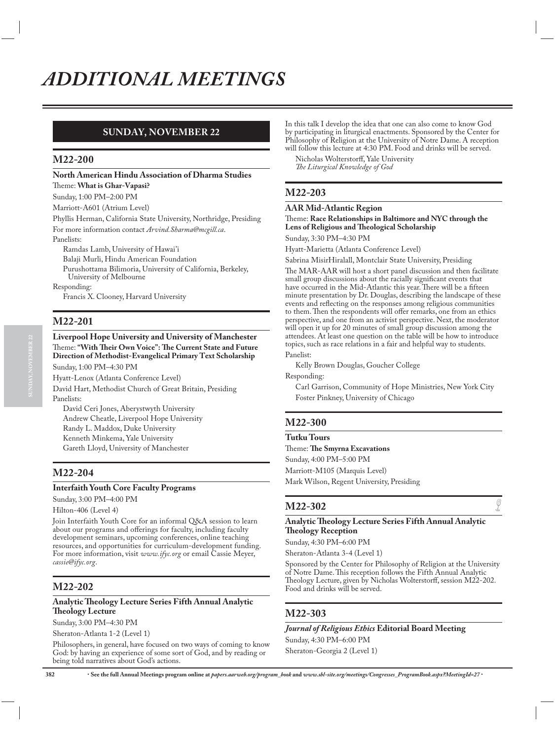### **SUNDAY, NOVEMBER 22**

### **M22-200**

**North American Hindu Association of Dharma Studies** Theme: **What is Ghar-Vapasi?**

Sunday, 1:00 PM–2:00 PM

Marriott-A601 (Atrium Level)

Phyllis Herman, California State University, Northridge, Presiding For more information contact *Arvind.Sharma@mcgill.ca*.

Panelists:

Ramdas Lamb, University of Hawai'i

Balaji Murli, Hindu American Foundation

Purushottama Bilimoria, University of California, Berkeley, University of Melbourne

Responding:

Francis X. Clooney, Harvard University

### **M22-201**

#### **Liverpool Hope University and University of Manchester** Theme: **"With Their Own Voice": The Current State and Future Direction of Methodist-Evangelical Primary Text Scholarship** Sunday, 1:00 PM–4:30 PM

Hyatt-Lenox (Atlanta Conference Level) David Hart, Methodist Church of Great Britain, Presiding Panelists:

David Ceri Jones, Aberystwyth University Andrew Cheatle, Liverpool Hope University Randy L. Maddox, Duke University Kenneth Minkema, Yale University Gareth Lloyd, University of Manchester

### **M22-204**

#### **Interfaith Youth Core Faculty Programs**

Sunday, 3:00 PM–4:00 PM

#### Hilton-406 (Level 4)

Join Interfaith Youth Core for an informal Q&A session to learn about our programs and offerings for faculty, including faculty development seminars, upcoming conferences, online teaching resources, and opportunities for curriculum-development funding. For more information, visit *www.ifyc.org* or email Cassie Meyer, *cassie@ifyc.org*.

### **M22-202**

#### **Analytic Theology Lecture Series Fifth Annual Analytic Theology Lecture**

Sunday, 3:00 PM–4:30 PM

Sheraton-Atlanta 1-2 (Level 1)

Philosophers, in general, have focused on two ways of coming to know God: by having an experience of some sort of God, and by reading or being told narratives about God's actions.

In this talk I develop the idea that one can also come to know God by participating in liturgical enactments. Sponsored by the Center for Philosophy of Religion at the University of Notre Dame. A reception will follow this lecture at 4:30 PM. Food and drinks will be served.

Nicholas Wolterstorff, Yale University *The Liturgical Knowledge of God*

### **M22-203**

#### **AAR Mid-Atlantic Region**

Theme: **Race Relationships in Baltimore and NYC through the Lens of Religious and Theological Scholarship**

Sunday, 3:30 PM–4:30 PM

Hyatt-Marietta (Atlanta Conference Level)

Sabrina MisirHiralall, Montclair State University, Presiding

The MAR-AAR will host a short panel discussion and then facilitate small group discussions about the racially significant events that have occurred in the Mid-Atlantic this year. There will be a fifteen minute presentation by Dr. Douglas, describing the landscape of these events and reflecting on the responses among religious communities to them. Then the respondents will offer remarks, one from an ethics perspective, and one from an activist perspective. Next, the moderator will open it up for 20 minutes of small group discussion among the attendees. At least one question on the table will be how to introduce topics, such as race relations in a fair and helpful way to students. Panelist:

Kelly Brown Douglas, Goucher College

Responding:

Carl Garrison, Community of Hope Ministries, New York City Foster Pinkney, University of Chicago

### **M22-300**

**Tutku Tours**

Theme: **The Smyrna Excavations** Sunday, 4:00 PM–5:00 PM Marriott-M105 (Marquis Level) Mark Wilson, Regent University, Presiding

## **M22-302**  $\sqrt{2}$

### **Analytic Theology Lecture Series Fifth Annual Analytic Theology Reception**

Sunday, 4:30 PM–6:00 PM Sheraton-Atlanta 3-4 (Level 1)

Sponsored by the Center for Philosophy of Religion at the University of Notre Dame. This reception follows the Fifth Annual Analytic Theology Lecture, given by Nicholas Wolterstorff, session M22-202. Food and drinks will be served.

### **M22-303**

*Journal of Religious Ethics* **Editorial Board Meeting** Sunday, 4:30 PM–6:00 PM Sheraton-Georgia 2 (Level 1)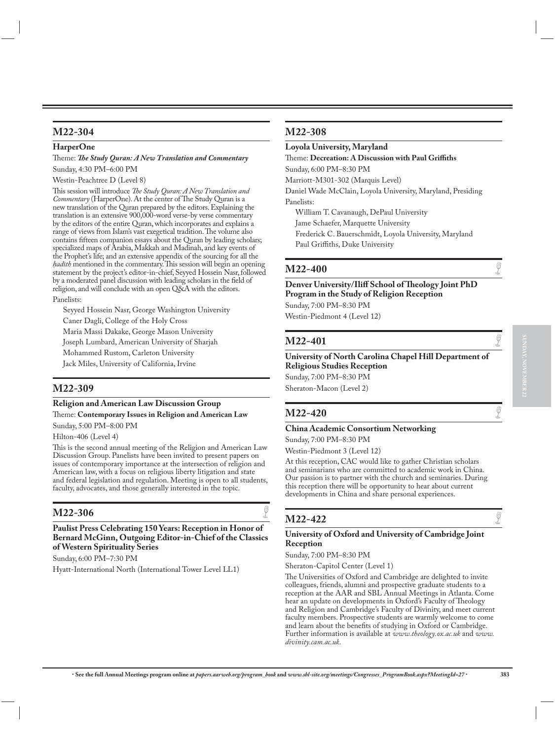### **M22-304**

#### **HarperOne**

Theme: *The Study Quran: A New Translation and Commentary* Sunday, 4:30 PM–6:00 PM

Westin-Peachtree D (Level 8)

This session will introduce *The Study Quran: A New Translation and Commentary* (HarperOne). At the center of The Study Quran is a new translation of the Quran prepared by the editors. Explaining the translation is an extensive 900,000-word verse-by verse commentary by the editors of the entire Quran, which incorporates and explains a range of views from Islam's vast exegetical tradition. The volume also contains fifteen companion essays about the Quran by leading scholars; specialized maps of Arabia, Makkah and Madinah, and key events of the Prophet's life; and an extensive appendix of the sourcing for all the *hadīth* mentioned in the commentary. This session will begin an opening statement by the project's editor-in-chief, Seyyed Hossein Nasr, followed by a moderated panel discussion with leading scholars in the field of religion, and will conclude with an open Q&A with the editors.

Panelists:

Seyyed Hossein Nasr, George Washington University Caner Dagli, College of the Holy Cross

Maria Massi Dakake, George Mason University

Joseph Lumbard, American University of Sharjah

Mohammed Rustom, Carleton University

Jack Miles, University of California, Irvine

### **M22-309**

### **Religion and American Law Discussion Group**

Theme: **Contemporary Issues in Religion and American Law** Sunday, 5:00 PM–8:00 PM

Hilton-406 (Level 4)

This is the second annual meeting of the Religion and American Law Discussion Group. Panelists have been invited to present papers on issues of contemporary importance at the intersection of religion and American law, with a focus on religious liberty litigation and state and federal legislation and regulation. Meeting is open to all students, faculty, advocates, and those generally interested in the topic.

## **M22-306**  $\qquad \qquad \bullet$

**Paulist Press Celebrating 150 Years: Reception in Honor of Bernard McGinn, Outgoing Editor-in-Chief of the Classics of Western Spirituality Series**

Sunday, 6:00 PM–7:30 PM

Hyatt-International North (International Tower Level LL1)

### **M22-308**

**Loyola University, Maryland**

Theme: **Decreation: A Discussion with Paul Griffiths** Sunday, 6:00 PM–8:30 PM Marriott-M301-302 (Marquis Level)

Daniel Wade McClain, Loyola University, Maryland, Presiding Panelists:

William T. Cavanaugh, DePaul University

Jame Schaefer, Marquette University Frederick C. Bauerschmidt, Loyola University, Maryland Paul Griffiths, Duke University

## **M22-400**  $\qquad \qquad \bullet$

**Denver University/Iliff School of Theology Joint PhD Program in the Study of Religion Reception** Sunday, 7:00 PM–8:30 PM

Westin-Piedmont 4 (Level 12)

## **M22-401**  $\qquad \qquad \bullet$

#### **University of North Carolina Chapel Hill Department of Religious Studies Reception** Sunday, 7:00 PM–8:30 PM

Sheraton-Macon (Level 2)

## **M22-420**  $\qquad \qquad \bullet$

### **China Academic Consortium Networking**

Sunday, 7:00 PM–8:30 PM

Westin-Piedmont 3 (Level 12)

At this reception, CAC would like to gather Christian scholars and seminarians who are committed to academic work in China. Our passion is to partner with the church and seminaries. During this reception there will be opportunity to hear about current developments in China and share personal experiences.

### **M22-422**

### **University of Oxford and University of Cambridge Joint Reception**

Sunday, 7:00 PM–8:30 PM

Sheraton-Capitol Center (Level 1)

The Universities of Oxford and Cambridge are delighted to invite colleagues, friends, alumni and prospective graduate students to a reception at the AAR and SBL Annual Meetings in Atlanta. Come hear an update on developments in Oxford's Faculty of Theology and Religion and Cambridge's Faculty of Divinity, and meet current faculty members. Prospective students are warmly welcome to come and learn about the benefits of studying in Oxford or Cambridge. Further information is available at *www.theology.ox.ac.uk* and *www. divinity.cam.ac.uk*.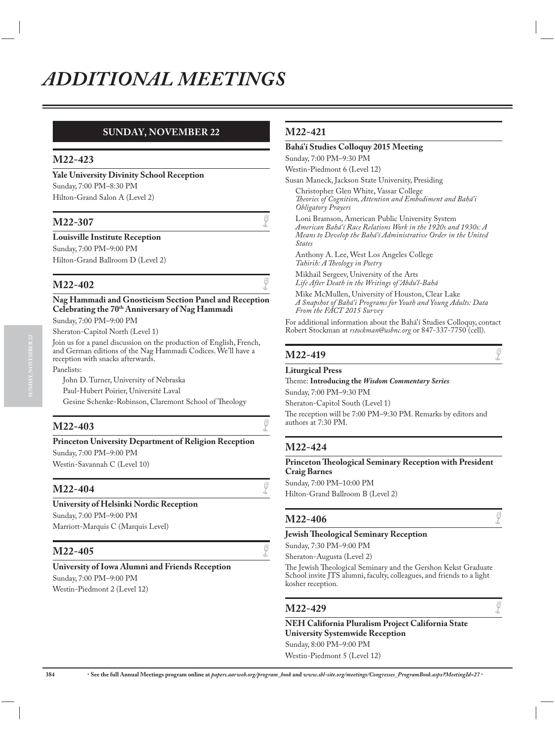### **SUNDAY, NOVEMBER 22**

### **M22-423**

**Yale University Divinity School Reception** Sunday, 7:00 PM–8:30 PM Hilton-Grand Salon A (Level 2)

## **M22-307**  $\qquad \qquad \bullet$

**Louisville Institute Reception**

Sunday, 7:00 PM–9:00 PM Hilton-Grand Ballroom D (Level 2)

### **M22-402**

**Nag Hammadi and Gnosticism Section Panel and Reception Celebrating the 70th Anniversary of Nag Hammadi** Sunday, 7:00 PM–9:00 PM

Sheraton-Capitol North (Level 1)

Join us for a panel discussion on the production of English, French, and German editions of the Nag Hammadi Codices. We'll have a reception with snacks afterwards.

Panelists:

John D. Turner, University of Nebraska Paul-Hubert Poirier, Université Laval Gesine Schenke-Robinson, Claremont School of Theology

### **M22-403**

**Princeton University Department of Religion Reception** Sunday, 7:00 PM–9:00 PM Westin-Savannah C (Level 10)

#### **M22-404**

**University of Helsinki Nordic Reception** Sunday, 7:00 PM–9:00 PM Marriott-Marquis C (Marquis Level)

## **M22-405**  $\sqrt{2}$

**University of Iowa Alumni and Friends Reception** Sunday, 7:00 PM–9:00 PM Westin-Piedmont 2 (Level 12)

### **M22-421**

#### **Bahá'í Studies Colloquy 2015 Meeting**

Sunday, 7:00 PM–9:30 PM

Westin-Piedmont 6 (Level 12)

Susan Maneck, Jackson State University, Presiding Christopher Glen White, Vassar College *Theories of Cognition, Attention and Embodiment and Bahá'i Obligatory Prayers*

Loni Bramson, American Public University System *American Bahá'í Race Relations Work in the 1920s and 1930s: A Means to Develop the Bahá'í Administrative Order in the United States*

Anthony A. Lee, West Los Angeles College *Tahirih: A Theology in Poetry*

Mikhail Sergeev, University of the Arts *Life After Death in the Writings of 'Abdu'l-Bahá*

Mike McMullen, University of Houston, Clear Lake *A Snapshot of Bahá'i Programs for Youth and Young Adults: Data From the FACT 2015 Survey*

For additional information about the Bahá'í Studies Colloquy, contact Robert Stockman at *rstockman@usbnc.org* or 847-337-7750 (cell).

## **M22-419**  $\qquad \qquad \bullet$

#### **Liturgical Press**

Theme: **Introducing the** *Wisdom Commentary Series*

Sunday, 7:00 PM–9:30 PM

Sheraton-Capitol South (Level 1) The reception will be 7:00 PM–9:30 PM. Remarks by editors and authors at 7:30 PM.

### **M22-424**

#### **Princeton Theological Seminary Reception with President Craig Barnes**

Sunday, 7:00 PM–10:00 PM Hilton-Grand Ballroom B (Level 2)

## **M22-406**  $\qquad \qquad \bullet$

**Jewish Theological Seminary Reception**

Sunday, 7:30 PM–9:00 PM

Sheraton-Augusta (Level 2)

The Jewish Theological Seminary and the Gershon Kekst Graduate School invite JTS alumni, faculty, colleagues, and friends to a light kosher reception.

## **M22-429**  $\qquad \qquad \bullet$

**NEH California Pluralism Project California State University Systemwide Reception** Sunday, 8:00 PM–9:00 PM Westin-Piedmont 5 (Level 12)

**384** x **See the full Annual Meetings program online at** *papers.aarweb.org/program\_book* **and** *www.sbl-site.org/meetings/Congresses\_ProgramBook.aspx?MeetingId=27* x

**SUNDAY, NOVEMBER 22**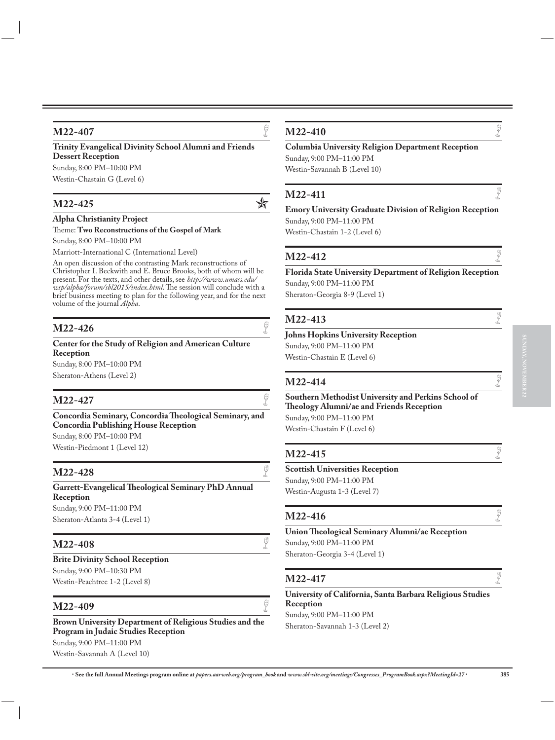### **M22-407**

**Trinity Evangelical Divinity School Alumni and Friends Dessert Reception** Sunday, 8:00 PM–10:00 PM

Westin-Chastain G (Level 6)

## **M22-425** <del>文</del>

### **Alpha Christianity Project**

Theme: **Two Reconstructions of the Gospel of Mark**

Sunday, 8:00 PM–10:00 PM

Marriott-International C (International Level)

An open discussion of the contrasting Mark reconstructions of Christopher I. Beckwith and E. Bruce Brooks, both of whom will be present. For the texts, and other details, see *http://www.umass.edu/ wsp/alpha/forum/sbl2015/index.html*. The session will conclude with a brief business meeting to plan for the following year, and for the next volume of the journal *Alpha*.

## **M22-426**  $\qquad \qquad \bullet$

**Center for the Study of Religion and American Culture Reception**

Sunday, 8:00 PM–10:00 PM Sheraton-Athens (Level 2)

## **M22-427**  $\qquad \qquad \bullet$

**Concordia Seminary, Concordia Theological Seminary, and Concordia Publishing House Reception** Sunday, 8:00 PM–10:00 PM

Westin-Piedmont 1 (Level 12)

## **M22-428**  $\qquad \qquad \bullet$

**Garrett-Evangelical Theological Seminary PhD Annual Reception** Sunday, 9:00 PM–11:00 PM Sheraton-Atlanta 3-4 (Level 1)

## **M22-408**  $\qquad \qquad \bullet$

**Brite Divinity School Reception** Sunday, 9:00 PM–10:30 PM Westin-Peachtree 1-2 (Level 8)

## **M22-409**  $\qquad \qquad \bullet$

**Brown University Department of Religious Studies and the Program in Judaic Studies Reception** Sunday, 9:00 PM–11:00 PM Westin-Savannah A (Level 10)

## **M22-410**  $\qquad \qquad \bullet$

**Columbia University Religion Department Reception** Sunday, 9:00 PM–11:00 PM Westin-Savannah B (Level 10)

## **M22-411**  $\qquad \qquad \bullet$

**Emory University Graduate Division of Religion Reception** Sunday, 9:00 PM–11:00 PM Westin-Chastain 1-2 (Level 6)

## **M22-412**  $\qquad \qquad \bullet$

**Florida State University Department of Religion Reception** Sunday, 9:00 PM–11:00 PM Sheraton-Georgia 8-9 (Level 1)

### **M22-413**

**Johns Hopkins University Reception** Sunday, 9:00 PM–11:00 PM Westin-Chastain E (Level 6)

## **M22-414**  $\qquad \qquad \int_{0}^{\pi}$

**Southern Methodist University and Perkins School of Theology Alumni/ae and Friends Reception** Sunday, 9:00 PM–11:00 PM Westin-Chastain F (Level 6)

## **M22-415**  $\qquad \qquad \int_{0}^{\pi}$

### **Scottish Universities Reception**

Sunday, 9:00 PM–11:00 PM Westin-Augusta 1-3 (Level 7)

## **M22-416**  $\qquad \qquad \bullet$

**Union Theological Seminary Alumni/ae Reception** Sunday, 9:00 PM–11:00 PM Sheraton-Georgia 3-4 (Level 1)

## **M22-417**  $\qquad \qquad \bullet$

**University of California, Santa Barbara Religious Studies Reception** Sunday, 9:00 PM–11:00 PM Sheraton-Savannah 1-3 (Level 2)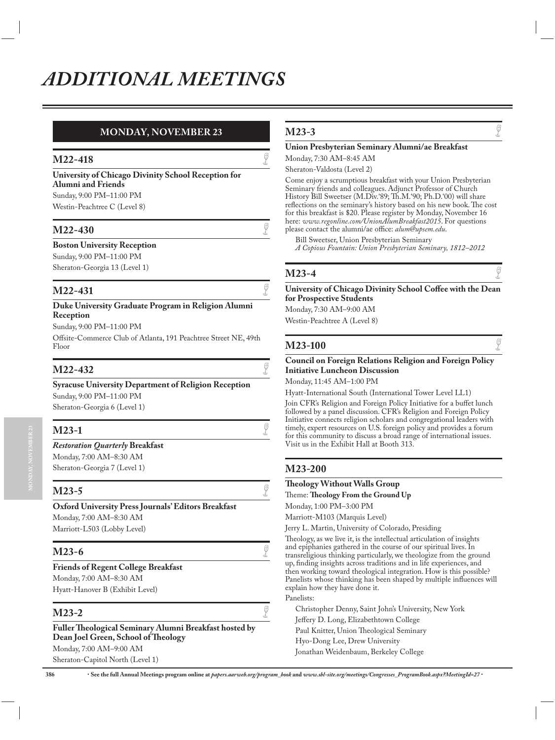### **MONDAY, NOVEMBER 23**

## **M22-418**  $\qquad \qquad \int_{0}^{\pi}$

**University of Chicago Divinity School Reception for Alumni and Friends** Sunday, 9:00 PM–11:00 PM

Westin-Peachtree C (Level 8)

## **M22-430**  $\qquad \qquad \bullet$

### **Boston University Reception**

Sunday, 9:00 PM–11:00 PM

Sheraton-Georgia 13 (Level 1)

## **M22-431**  $\qquad \qquad \bullet$

#### **Duke University Graduate Program in Religion Alumni Reception**

Sunday, 9:00 PM–11:00 PM

Offsite-Commerce Club of Atlanta, 191 Peachtree Street NE, 49th Floor

## **M22-432**  $\qquad \qquad \bigcirc$

#### **Syracuse University Department of Religion Reception**

Sunday, 9:00 PM–11:00 PM Sheraton-Georgia 6 (Level 1)

### **M23-1**  $\qquad \qquad \bullet$ *Restoration Quarterly* **Breakfast** Monday, 7:00 AM–8:30 AM

Sheraton-Georgia 7 (Level 1)

## **M23-5**  $\sqrt{ }$

**Oxford University Press Journals' Editors Breakfast** Monday, 7:00 AM–8:30 AM Marriott-L503 (Lobby Level)

## **M23-6**  $\qquad \qquad \bullet$

**Friends of Regent College Breakfast** Monday, 7:00 AM–8:30 AM Hyatt-Hanover B (Exhibit Level)

## **M23-2**  $\qquad \qquad \bullet$

#### **Fuller Theological Seminary Alumni Breakfast hosted by Dean Joel Green, School of Theology** Monday, 7:00 AM–9:00 AM Sheraton-Capitol North (Level 1)

## **M23-3**

### **Union Presbyterian Seminary Alumni/ae Breakfast**

Monday, 7:30 AM–8:45 AM

Sheraton-Valdosta (Level 2)

Come enjoy a scrumptious breakfast with your Union Presbyterian Seminary friends and colleagues. Adjunct Professor of Church History Bill Sweetser (M.Div.'89; Th.M.'90; Ph.D.'00) will share reflections on the seminary's history based on his new book. The cost for this breakfast is \$20. Please register by Monday, November 16 here: *www.regonline.com/UnionAlumBreakfast2015*. For questions please contact the alumni/ae office: *alum@upsem.edu*.

Bill Sweetser, Union Presbyterian Seminary *A Copious Fountain: Union Presbyterian Seminary, 1812–2012*

## **M23-4**  $\qquad \qquad \bullet$

#### **University of Chicago Divinity School Coffee with the Dean for Prospective Students**

Monday, 7:30 AM–9:00 AM Westin-Peachtree A (Level 8)

## **M23-100** G

#### **Council on Foreign Relations Religion and Foreign Policy Initiative Luncheon Discussion**

Monday, 11:45 AM–1:00 PM

Hyatt-International South (International Tower Level LL1)

Join CFR's Religion and Foreign Policy Initiative for a buffet lunch followed by a panel discussion. CFR's Religion and Foreign Policy Initiative connects religion scholars and congregational leaders with timely, expert resources on U.S. foreign policy and provides a forum for this community to discuss a broad range of international issues. Visit us in the Exhibit Hall at Booth 313.

### **M23-200**

#### **Theology Without Walls Group**

Theme: **Theology From the Ground Up**

Monday, 1:00 PM–3:00 PM

Marriott-M103 (Marquis Level)

Jerry L. Martin, University of Colorado, Presiding

Theology, as we live it, is the intellectual articulation of insights and epiphanies gathered in the course of our spiritual lives. In transreligious thinking particularly, we theologize from the ground up, finding insights across traditions and in life experiences, and then working toward theological integration. How is this possible? Panelists whose thinking has been shaped by multiple influences will explain how they have done it. Panelists:

Christopher Denny, Saint John's University, New York Jeffery D. Long, Elizabethtown College Paul Knitter, Union Theological Seminary Hyo-Dong Lee, Drew University Jonathan Weidenbaum, Berkeley College